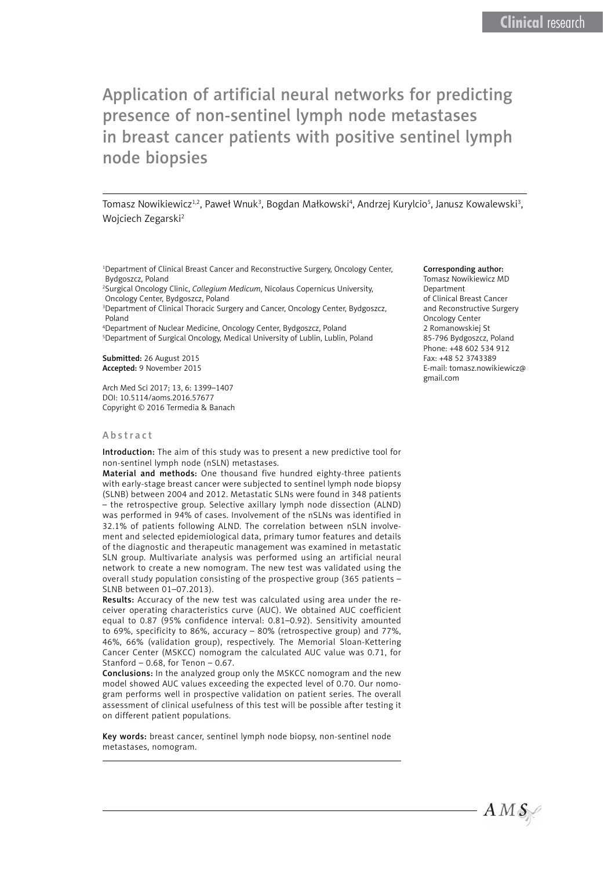# Application of artificial neural networks for predicting presence of non-sentinel lymph node metastases in breast cancer patients with positive sentinel lymph node biopsies

Tomasz Nowikiewicz<sup>1,2</sup>, Paweł Wnuk<sup>3</sup>, Bogdan Małkowski<sup>4</sup>, Andrzej Kurylcio<sup>5</sup>, Janusz Kowalewski<sup>3</sup>, Wojciech Zegarski2

<sup>1</sup>Department of Clinical Breast Cancer and Reconstructive Surgery, Oncology Center, Bydgoszcz, Poland

2 Surgical Oncology Clinic, *Collegium Medicum*, Nicolaus Copernicus University, Oncology Center, Bydgoszcz, Poland

3 Department of Clinical Thoracic Surgery and Cancer, Oncology Center, Bydgoszcz, Poland

4 Department of Nuclear Medicine, Oncology Center, Bydgoszcz, Poland 5 Department of Surgical Oncology, Medical University of Lublin, Lublin, Poland

Submitted: 26 August 2015 Accepted: 9 November 2015

Arch Med Sci 2017; 13, 6: 1399–1407 DOI: 10.5114/aoms.2016.57677 Copyright © 2016 Termedia & Banach

### Abstract

Introduction: The aim of this study was to present a new predictive tool for non-sentinel lymph node (nSLN) metastases.

Material and methods: One thousand five hundred eighty-three patients with early-stage breast cancer were subjected to sentinel lymph node biopsy (SLNB) between 2004 and 2012. Metastatic SLNs were found in 348 patients – the retrospective group. Selective axillary lymph node dissection (ALND) was performed in 94% of cases. Involvement of the nSLNs was identified in 32.1% of patients following ALND. The correlation between nSLN involvement and selected epidemiological data, primary tumor features and details of the diagnostic and therapeutic management was examined in metastatic SLN group. Multivariate analysis was performed using an artificial neural network to create a new nomogram. The new test was validated using the overall study population consisting of the prospective group (365 patients – SLNB between 01–07.2013).

Results: Accuracy of the new test was calculated using area under the receiver operating characteristics curve (AUC). We obtained AUC coefficient equal to 0.87 (95% confidence interval: 0.81–0.92). Sensitivity amounted to 69%, specificity to 86%, accuracy – 80% (retrospective group) and 77%, 46%, 66% (validation group), respectively. The Memorial Sloan-Kettering Cancer Center (MSKCC) nomogram the calculated AUC value was 0.71, for Stanford  $-0.68$ , for Tenon  $-0.67$ .

Conclusions: In the analyzed group only the MSKCC nomogram and the new model showed AUC values exceeding the expected level of 0.70. Our nomogram performs well in prospective validation on patient series. The overall assessment of clinical usefulness of this test will be possible after testing it on different patient populations.

Key words: breast cancer, sentinel lymph node biopsy, non-sentinel node metastases, nomogram.

#### Corresponding author:

Tomasz Nowikiewicz MD Department of Clinical Breast Cancer and Reconstructive Surgery Oncology Center 2 Romanowskiej St 85-796 Bydgoszcz, Poland Phone: +48 602 534 912 Fax: +48 52 3743389 E-mail: tomasz.nowikiewicz@ gmail.com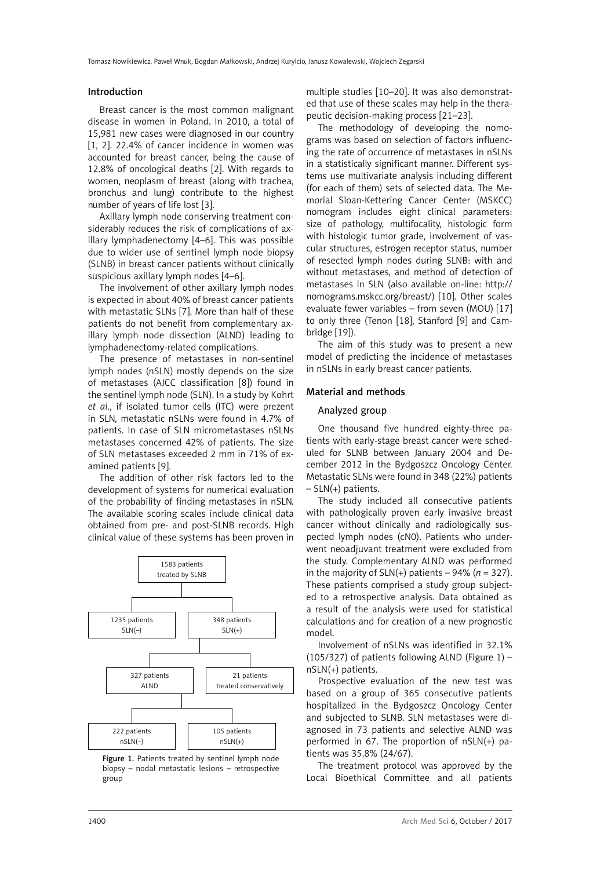#### Introduction

Breast cancer is the most common malignant disease in women in Poland. In 2010, a total of 15,981 new cases were diagnosed in our country [1, 2]. 22.4% of cancer incidence in women was accounted for breast cancer, being the cause of 12.8% of oncological deaths [2]. With regards to women, neoplasm of breast (along with trachea, bronchus and lung) contribute to the highest number of years of life lost [3].

Axillary lymph node conserving treatment considerably reduces the risk of complications of axillary lymphadenectomy [4–6]. This was possible due to wider use of sentinel lymph node biopsy (SLNB) in breast cancer patients without clinically suspicious axillary lymph nodes [4–6].

The involvement of other axillary lymph nodes is expected in about 40% of breast cancer patients with metastatic SLNs [7]. More than half of these patients do not benefit from complementary axillary lymph node dissection (ALND) leading to lymphadenectomy-related complications.

The presence of metastases in non-sentinel lymph nodes (nSLN) mostly depends on the size of metastases (AJCC classification [8]) found in the sentinel lymph node (SLN). In a study by Kohrt *et al*., if isolated tumor cells (ITC) were prezent in SLN, metastatic nSLNs were found in 4.7% of patients. In case of SLN micrometastases nSLNs metastases concerned 42% of patients. The size of SLN metastases exceeded 2 mm in 71% of examined patients [9].

The addition of other risk factors led to the development of systems for numerical evaluation of the probability of finding metastases in nSLN. The available scoring scales include clinical data obtained from pre- and post-SLNB records. High clinical value of these systems has been proven in



Figure 1. Patients treated by sentinel lymph node biopsy – nodal metastatic lesions – retrospective group

multiple studies [10–20]. It was also demonstrated that use of these scales may help in the therapeutic decision-making process [21–23].

The methodology of developing the nomograms was based on selection of factors influencing the rate of occurrence of metastases in nSLNs in a statistically significant manner. Different systems use multivariate analysis including different (for each of them) sets of selected data. The Memorial Sloan-Kettering Cancer Center (MSKCC) nomogram includes eight clinical parameters: size of pathology, multifocality, histologic form with histologic tumor grade, involvement of vascular structures, estrogen receptor status, number of resected lymph nodes during SLNB: with and without metastases, and method of detection of metastases in SLN (also available on-line: [http://](http://nomograms.mskcc.org/breast/) [nomograms.mskcc.org/breast/](http://nomograms.mskcc.org/breast/)) [10]. Other scales evaluate fewer variables – from seven (MOU) [17] to only three (Tenon [18], Stanford [9] and Cambridge [19]).

The aim of this study was to present a new model of predicting the incidence of metastases in nSLNs in early breast cancer patients.

### Material and methods

#### Analyzed group

One thousand five hundred eighty-three patients with early-stage breast cancer were scheduled for SLNB between January 2004 and December 2012 in the Bydgoszcz Oncology Center. Metastatic SLNs were found in 348 (22%) patients  $-$  SLN(+) patients.

The study included all consecutive patients with pathologically proven early invasive breast cancer without clinically and radiologically suspected lymph nodes (cN0). Patients who underwent neoadjuvant treatment were excluded from the study. Complementary ALND was performed in the majority of  $SLN(+)$  patients – 94% ( $n = 327$ ). These patients comprised a study group subjected to a retrospective analysis. Data obtained as a result of the analysis were used for statistical calculations and for creation of a new prognostic model.

Involvement of nSLNs was identified in 32.1% (105/327) of patients following ALND (Figure  $1$ ) – nSLN(+) patients.

Prospective evaluation of the new test was based on a group of 365 consecutive patients hospitalized in the Bydgoszcz Oncology Center and subjected to SLNB. SLN metastases were diagnosed in 73 patients and selective ALND was performed in 67. The proportion of nSLN(+) patients was 35.8% (24/67).

The treatment protocol was approved by the Local Bioethical Committee and all patients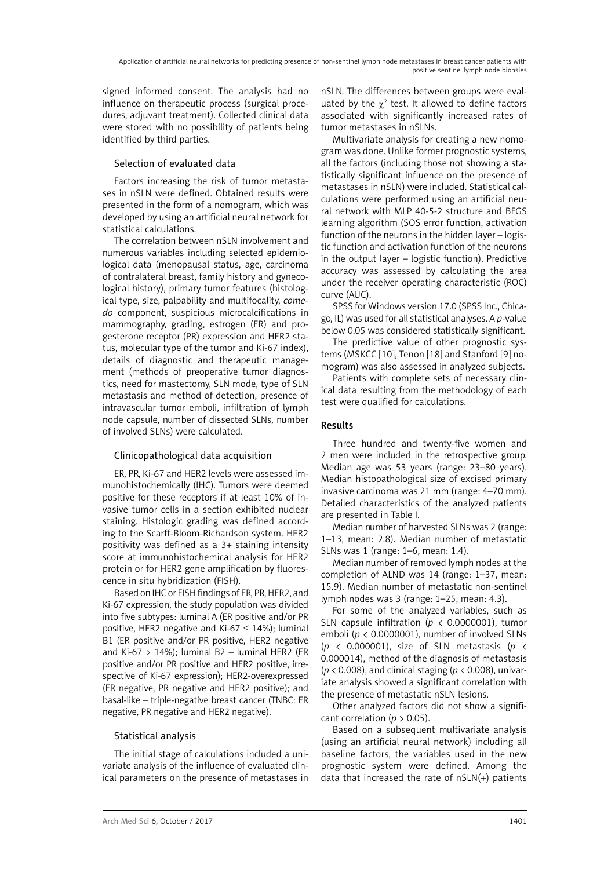signed informed consent. The analysis had no influence on therapeutic process (surgical procedures, adjuvant treatment). Collected clinical data were stored with no possibility of patients being identified by third parties.

### Selection of evaluated data

Factors increasing the risk of tumor metastases in nSLN were defined. Obtained results were presented in the form of a nomogram, which was developed by using an artificial neural network for statistical calculations.

The correlation between nSLN involvement and numerous variables including selected epidemiological data (menopausal status, age, carcinoma of contralateral breast, family history and gynecological history), primary tumor features (histological type, size, palpability and multifocality, *comedo* component, suspicious microcalcifications in mammography, grading, estrogen (ER) and progesterone receptor (PR) expression and HER2 status, molecular type of the tumor and Ki-67 index), details of diagnostic and therapeutic management (methods of preoperative tumor diagnostics, need for mastectomy, SLN mode, type of SLN metastasis and method of detection, presence of intravascular tumor emboli, infiltration of lymph node capsule, number of dissected SLNs, number of involved SLNs) were calculated.

# Clinicopathological data acquisition

ER, PR, Ki-67 and HER2 levels were assessed immunohistochemically (IHC). Tumors were deemed positive for these receptors if at least 10% of invasive tumor cells in a section exhibited nuclear staining. Histologic grading was defined according to the Scarff-Bloom-Richardson system. HER2 positivity was defined as a 3+ staining intensity score at immunohistochemical analysis for HER2 protein or for HER2 gene amplification by fluorescence in situ hybridization (FISH).

Based on IHC or FISH findings of ER, PR, HER2, and Ki-67 expression, the study population was divided into five subtypes: luminal A (ER positive and/or PR positive, HER2 negative and Ki-67  $\leq$  14%); luminal B1 (ER positive and/or PR positive, HER2 negative and Ki-67  $> 14\%$ ): luminal B2 – luminal HER2 (ER positive and/or PR positive and HER2 positive, irrespective of Ki-67 expression); HER2-overexpressed (ER negative, PR negative and HER2 positive); and basal-like – triple-negative breast cancer (TNBC: ER negative, PR negative and HER2 negative).

# Statistical analysis

The initial stage of calculations included a univariate analysis of the influence of evaluated clinical parameters on the presence of metastases in nSLN. The differences between groups were evaluated by the  $\chi^2$  test. It allowed to define factors associated with significantly increased rates of tumor metastases in nSLNs.

Multivariate analysis for creating a new nomogram was done. Unlike former prognostic systems, all the factors (including those not showing a statistically significant influence on the presence of metastases in nSLN) were included. Statistical calculations were performed using an artificial neural network with MLP 40-5-2 structure and BFGS learning algorithm (SOS error function, activation function of the neurons in the hidden layer – logistic function and activation function of the neurons in the output layer – logistic function). Predictive accuracy was assessed by calculating the area under the receiver operating characteristic (ROC) curve (AUC).

SPSS for Windows version 17.0 (SPSS Inc., Chicago, IL) was used for all statistical analyses. A *p*-value below 0.05 was considered statistically significant.

The predictive value of other prognostic systems (MSKCC [10], Tenon [18] and Stanford [9] nomogram) was also assessed in analyzed subjects.

Patients with complete sets of necessary clinical data resulting from the methodology of each test were qualified for calculations.

# Results

Three hundred and twenty-five women and 2 men were included in the retrospective group. Median age was 53 years (range: 23–80 years). Median histopathological size of excised primary invasive carcinoma was 21 mm (range: 4–70 mm). Detailed characteristics of the analyzed patients are presented in Table I.

Median number of harvested SLNs was 2 (range: 1–13, mean: 2.8). Median number of metastatic SLNs was 1 (range: 1–6, mean: 1.4).

Median number of removed lymph nodes at the completion of ALND was 14 (range: 1–37, mean: 15.9). Median number of metastatic non-sentinel lymph nodes was 3 (range: 1–25, mean: 4.3).

For some of the analyzed variables, such as SLN capsule infiltration ( $p < 0.0000001$ ), tumor emboli (*p* < 0.0000001), number of involved SLNs (*p* < 0.000001), size of SLN metastasis (*p* < 0.000014), method of the diagnosis of metastasis (*p* < 0.008), and clinical staging (*p* < 0.008), univariate analysis showed a significant correlation with the presence of metastatic nSLN lesions.

Other analyzed factors did not show a significant correlation (*p* > 0.05).

Based on a subsequent multivariate analysis (using an artificial neural network) including all baseline factors, the variables used in the new prognostic system were defined. Among the data that increased the rate of nSLN(+) patients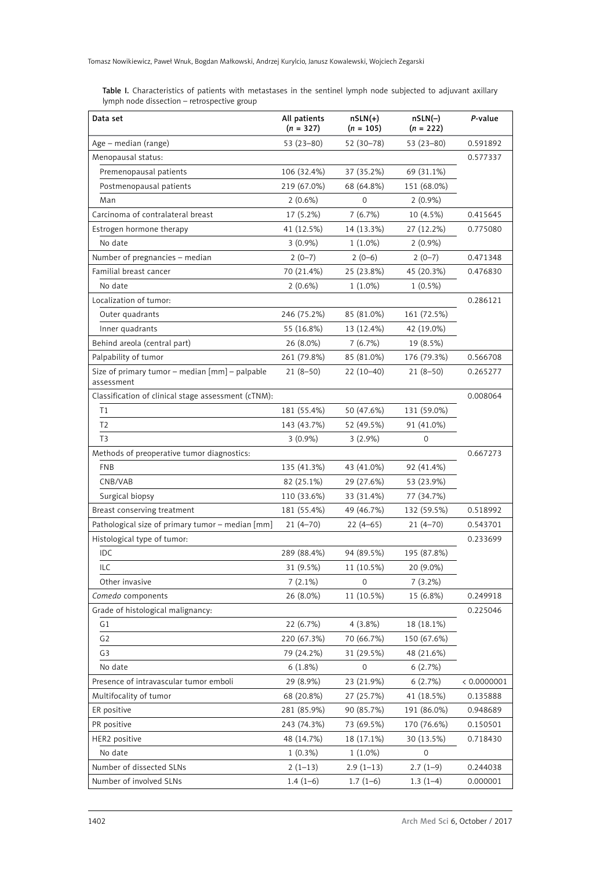| Data set                                                     | All patients<br>$(n = 327)$ | $nSLN(+)$<br>$(n = 105)$ | $nSLN(-)$<br>$(n = 222)$ | P-value     |
|--------------------------------------------------------------|-----------------------------|--------------------------|--------------------------|-------------|
| Age – median (range)                                         | $53(23 - 80)$               | 52 (30-78)               | 53 (23–80)               | 0.591892    |
| Menopausal status:                                           |                             |                          |                          | 0.577337    |
| Premenopausal patients                                       | 106 (32.4%)                 | 37 (35.2%)               | 69 (31.1%)               |             |
| Postmenopausal patients                                      | 219 (67.0%)                 | 68 (64.8%)               | 151 (68.0%)              |             |
| Man                                                          | 2(0.6%)                     | 0                        | $2(0.9\%)$               |             |
| Carcinoma of contralateral breast                            | 17 (5.2%)                   | 7(6.7%)                  | 10 (4.5%)                | 0.415645    |
| Estrogen hormone therapy                                     | 41 (12.5%)                  | 14 (13.3%)               | 27 (12.2%)               | 0.775080    |
| No date                                                      | $3(0.9\%)$                  | $1(1.0\%)$               | $2(0.9\%)$               |             |
| Number of pregnancies - median                               | $2(0-7)$                    | $2(0-6)$                 | $2(0-7)$                 | 0.471348    |
| Familial breast cancer                                       | 70 (21.4%)                  | 25 (23.8%)               | 45 (20.3%)               | 0.476830    |
| No date                                                      | 2(0.6%)                     | $1(1.0\%)$               | $1(0.5\%)$               |             |
| Localization of tumor:                                       |                             |                          |                          | 0.286121    |
| Outer quadrants                                              | 246 (75.2%)                 | 85 (81.0%)               | 161 (72.5%)              |             |
| Inner quadrants                                              | 55 (16.8%)                  | 13 (12.4%)               | 42 (19.0%)               |             |
| Behind areola (central part)                                 | 26 (8.0%)                   | 7(6.7%)                  | 19 (8.5%)                |             |
| Palpability of tumor                                         | 261 (79.8%)                 | 85 (81.0%)               | 176 (79.3%)              | 0.566708    |
| Size of primary tumor - median [mm] - palpable<br>assessment | $21(8-50)$                  | $22(10-40)$              | $21(8-50)$               | 0.265277    |
| Classification of clinical stage assessment (cTNM):          |                             |                          |                          | 0.008064    |
| T1                                                           | 181 (55.4%)                 | 50 (47.6%)               | 131 (59.0%)              |             |
| T <sub>2</sub>                                               | 143 (43.7%)                 | 52 (49.5%)               | 91 (41.0%)               |             |
| T <sub>3</sub>                                               | $3(0.9\%)$                  | $3(2.9\%)$               | 0                        |             |
| Methods of preoperative tumor diagnostics:                   |                             |                          |                          | 0.667273    |
| <b>FNB</b>                                                   | 135 (41.3%)                 | 43 (41.0%)               | 92 (41.4%)               |             |
| CNB/VAB                                                      | 82 (25.1%)                  | 29 (27.6%)               | 53 (23.9%)               |             |
| Surgical biopsy                                              | 110 (33.6%)                 | 33 (31.4%)               | 77 (34.7%)               |             |
| Breast conserving treatment                                  | 181 (55.4%)                 | 49 (46.7%)               | 132 (59.5%)              | 0.518992    |
| Pathological size of primary tumor - median [mm]             | $21(4-70)$                  | $22(4-65)$               | $21(4-70)$               | 0.543701    |
| Histological type of tumor:                                  |                             |                          |                          | 0.233699    |
| IDC                                                          | 289 (88.4%)                 | 94 (89.5%)               | 195 (87.8%)              |             |
| <b>ILC</b>                                                   | 31 (9.5%)                   | 11 (10.5%)               | 20 (9.0%)                |             |
| Other invasive                                               | $7(2.1\%)$                  | $\mathbf 0$              | 7(3.2%)                  |             |
| Comedo components                                            | 26 (8.0%)                   | 11 (10.5%)               | 15 (6.8%)                | 0.249918    |
| Grade of histological malignancy:                            |                             |                          |                          | 0.225046    |
| G1                                                           | 22 (6.7%)                   | $4(3.8\%)$               | 18 (18.1%)               |             |
| G <sub>2</sub>                                               | 220 (67.3%)                 | 70 (66.7%)               | 150 (67.6%)              |             |
| G <sub>3</sub>                                               | 79 (24.2%)                  | 31 (29.5%)               | 48 (21.6%)               |             |
| No date                                                      | 6(1.8%)                     | 0                        | 6(2.7%)                  |             |
| Presence of intravascular tumor emboli                       | 29 (8.9%)                   | 23 (21.9%)               | 6(2.7%)                  | < 0.0000001 |
| Multifocality of tumor                                       | 68 (20.8%)                  | 27 (25.7%)               | 41 (18.5%)               | 0.135888    |
| ER positive                                                  | 281 (85.9%)                 | 90 (85.7%)               | 191 (86.0%)              | 0.948689    |
| PR positive                                                  | 243 (74.3%)                 | 73 (69.5%)               | 170 (76.6%)              | 0.150501    |
| HER2 positive                                                | 48 (14.7%)                  | 18 (17.1%)               | 30 (13.5%)               | 0.718430    |

No date 1 (0.3%) 1 (1.0%) 0

Number of dissected SLNs 2 (1-13) 2.9 (1-13) 2.7 (1-9) 0.244038 Number of involved SLNs 1.4 (1-6) 1.7 (1-6) 1.3 (1-4) 0.000001

Table I. Characteristics of patients with metastases in the sentinel lymph node subjected to adjuvant axillary lymph node dissection – retrospective group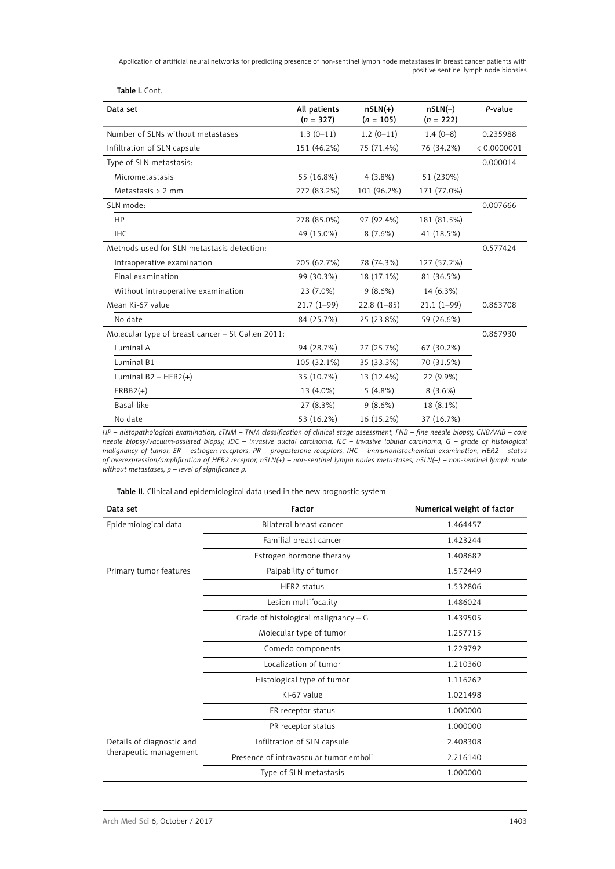Application of artificial neural networks for predicting presence of non-sentinel lymph node metastases in breast cancer patients with positive sentinel lymph node biopsies

Table I. Cont.

| Data set                                          | All patients<br>$(n = 327)$ | $nSLN(+)$<br>$(n = 105)$ | $nSLN(-)$<br>$(n = 222)$ | P-value     |
|---------------------------------------------------|-----------------------------|--------------------------|--------------------------|-------------|
| Number of SLNs without metastases                 | $1.3(0-11)$                 | $1.2(0-11)$              | $1.4(0-8)$               | 0.235988    |
| Infiltration of SLN capsule                       | 151 (46.2%)                 | 75 (71.4%)               | 76 (34.2%)               | < 0.0000001 |
| Type of SLN metastasis:                           |                             |                          |                          | 0.000014    |
| Micrometastasis                                   | 55 (16.8%)                  | $4(3.8\%)$               | 51 (230%)                |             |
| Metastasis $> 2$ mm                               | 272 (83.2%)                 | 101 (96.2%)              | 171 (77.0%)              |             |
| SLN mode:                                         |                             |                          |                          | 0.007666    |
| HP                                                | 278 (85.0%)                 | 97 (92.4%)               | 181 (81.5%)              |             |
| <b>IHC</b>                                        | 49 (15.0%)                  | 8(7.6%)                  | 41 (18.5%)               |             |
| Methods used for SLN metastasis detection:        |                             |                          |                          | 0.577424    |
| Intraoperative examination                        | 205 (62.7%)                 | 78 (74.3%)               | 127 (57.2%)              |             |
| Final examination                                 | 99 (30.3%)                  | 18 (17.1%)               | 81 (36.5%)               |             |
| Without intraoperative examination                | 23 (7.0%)                   | 9(8.6%)                  | 14 (6.3%)                |             |
| Mean Ki-67 value                                  | $21.7(1-99)$                | $22.8(1-85)$             | $21.1(1-99)$             | 0.863708    |
| No date                                           | 84 (25.7%)                  | 25 (23.8%)               | 59 (26.6%)               |             |
| Molecular type of breast cancer - St Gallen 2011: |                             |                          |                          | 0.867930    |
| Luminal A                                         | 94 (28.7%)                  | 27 (25.7%)               | 67 (30.2%)               |             |
| Luminal B1                                        | 105 (32.1%)                 | 35 (33.3%)               | 70 (31.5%)               |             |
| Luminal $B2 - HER2(+)$                            | 35 (10.7%)                  | 13 (12.4%)               | 22 (9.9%)                |             |
| $ERBB2(+)$                                        | 13 (4.0%)                   | 5(4.8%)                  | $8(3.6\%)$               |             |
| Basal-like                                        | 27 (8.3%)                   | 9(8.6%)                  | 18 (8.1%)                |             |
| No date                                           | 53 (16.2%)                  | 16 (15.2%)               | 37 (16.7%)               |             |

*HP – histopathological examination, cTNM – TNM classification of clinical stage assessment, FNB – fine needle biopsy, CNB/VAB – core needle biopsy/vacuum-assisted biopsy, IDC – invasive ductal carcinoma, ILC – invasive lobular carcinoma, G – grade of histological malignancy of tumor, ER – estrogen receptors, PR – progesterone receptors, IHC – immunohistochemical examination, HER2 – status of overexpression/amplification of HER2 receptor, nSLN(+) – non-sentinel lymph nodes metastases, nSLN(–) – non-sentinel lymph node without metastases, p – level of significance p.*

Table II. Clinical and epidemiological data used in the new prognostic system

| Data set                                            | Factor                                 | Numerical weight of factor |
|-----------------------------------------------------|----------------------------------------|----------------------------|
| Epidemiological data                                | Bilateral breast cancer                | 1.464457                   |
|                                                     | Familial breast cancer                 | 1.423244                   |
|                                                     | Estrogen hormone therapy               | 1.408682                   |
| Primary tumor features                              | Palpability of tumor                   | 1.572449                   |
|                                                     | HER2 status                            | 1.532806                   |
|                                                     | Lesion multifocality                   | 1.486024                   |
|                                                     | Grade of histological malignancy - G   | 1.439505                   |
|                                                     | Molecular type of tumor                | 1.257715                   |
|                                                     | Comedo components                      | 1.229792                   |
|                                                     | Localization of tumor                  | 1.210360                   |
|                                                     | Histological type of tumor             | 1.116262                   |
|                                                     | Ki-67 value                            | 1.021498                   |
|                                                     | ER receptor status                     | 1.000000                   |
|                                                     | PR receptor status                     | 1.000000                   |
| Details of diagnostic and<br>therapeutic management | Infiltration of SLN capsule            | 2.408308                   |
|                                                     | Presence of intravascular tumor emboli | 2.216140                   |
|                                                     | Type of SLN metastasis                 | 1.000000                   |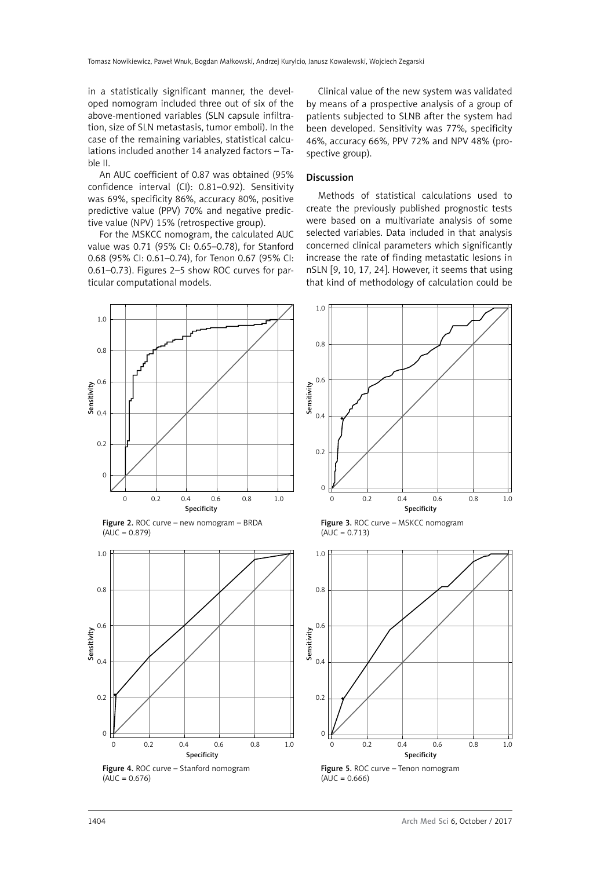in a statistically significant manner, the developed nomogram included three out of six of the above-mentioned variables (SLN capsule infiltration, size of SLN metastasis, tumor emboli). In the case of the remaining variables, statistical calculations included another 14 analyzed factors – Table II.

An AUC coefficient of 0.87 was obtained (95% confidence interval (CI): 0.81–0.92). Sensitivity was 69%, specificity 86%, accuracy 80%, positive predictive value (PPV) 70% and negative predictive value (NPV) 15% (retrospective group).

For the MSKCC nomogram, the calculated AUC value was 0.71 (95% CI: 0.65–0.78), for Stanford 0.68 (95% CI: 0.61–0.74), for Tenon 0.67 (95% CI: 0.61–0.73). Figures 2–5 show ROC curves for particular computational models.

Clinical value of the new system was validated by means of a prospective analysis of a group of patients subjected to SLNB after the system had been developed. Sensitivity was 77%, specificity 46%, accuracy 66%, PPV 72% and NPV 48% (prospective group).

### Discussion

Methods of statistical calculations used to create the previously published prognostic tests were based on a multivariate analysis of some selected variables. Data included in that analysis concerned clinical parameters which significantly increase the rate of finding metastatic lesions in nSLN [9, 10, 17, 24]. However, it seems that using that kind of methodology of calculation could be



Figure 2. ROC curve – new nomogram – BRDA  $(AUC = 0.879)$ 



 $(AUC = 0.676)$ 



Figure 3. ROC curve - MSKCC nomogram  $(AUC = 0.713)$ 



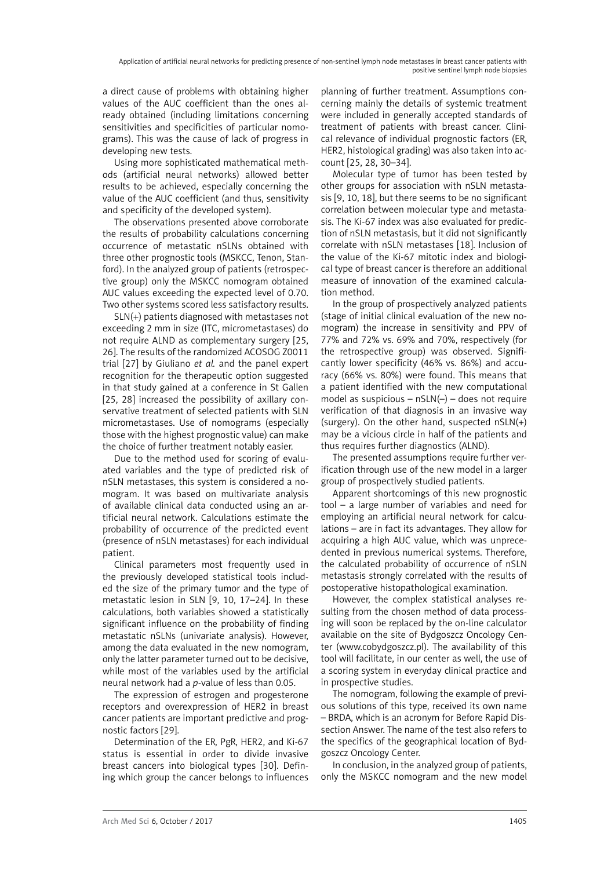a direct cause of problems with obtaining higher values of the AUC coefficient than the ones already obtained (including limitations concerning sensitivities and specificities of particular nomograms). This was the cause of lack of progress in developing new tests.

Using more sophisticated mathematical methods (artificial neural networks) allowed better results to be achieved, especially concerning the value of the AUC coefficient (and thus, sensitivity and specificity of the developed system).

The observations presented above corroborate the results of probability calculations concerning occurrence of metastatic nSLNs obtained with three other prognostic tools (MSKCC, Tenon, Stanford). In the analyzed group of patients (retrospective group) only the MSKCC nomogram obtained AUC values exceeding the expected level of 0.70. Two other systems scored less satisfactory results.

SLN(+) patients diagnosed with metastases not exceeding 2 mm in size (ITC, micrometastases) do not require ALND as complementary surgery [25, 26]. The results of the randomized ACOSOG Z0011 trial [27] by Giuliano *et al.* and the panel expert recognition for the therapeutic option suggested in that study gained at a conference in St Gallen [25, 28] increased the possibility of axillary conservative treatment of selected patients with SLN micrometastases. Use of nomograms (especially those with the highest prognostic value) can make the choice of further treatment notably easier.

Due to the method used for scoring of evaluated variables and the type of predicted risk of nSLN metastases, this system is considered a nomogram. It was based on multivariate analysis of available clinical data conducted using an artificial neural network. Calculations estimate the probability of occurrence of the predicted event (presence of nSLN metastases) for each individual patient.

Clinical parameters most frequently used in the previously developed statistical tools included the size of the primary tumor and the type of metastatic lesion in SLN [9, 10, 17–24]. In these calculations, both variables showed a statistically significant influence on the probability of finding metastatic nSLNs (univariate analysis). However, among the data evaluated in the new nomogram, only the latter parameter turned out to be decisive, while most of the variables used by the artificial neural network had a *p*-value of less than 0.05.

The expression of estrogen and progesterone receptors and overexpression of HER2 in breast cancer patients are important predictive and prognostic factors [29].

Determination of the ER, PgR, HER2, and Ki-67 status is essential in order to divide invasive breast cancers into biological types [30]. Defining which group the cancer belongs to influences

planning of further treatment. Assumptions concerning mainly the details of systemic treatment were included in generally accepted standards of treatment of patients with breast cancer. Clinical relevance of individual prognostic factors (ER, HER2, histological grading) was also taken into account [25, 28, 30–34].

Molecular type of tumor has been tested by other groups for association with nSLN metastasis [9, 10, 18], but there seems to be no significant correlation between molecular type and metastasis. The Ki-67 index was also evaluated for prediction of nSLN metastasis, but it did not significantly correlate with nSLN metastases [18]. Inclusion of the value of the Ki-67 mitotic index and biological type of breast cancer is therefore an additional measure of innovation of the examined calculation method.

In the group of prospectively analyzed patients (stage of initial clinical evaluation of the new nomogram) the increase in sensitivity and PPV of 77% and 72% vs. 69% and 70%, respectively (for the retrospective group) was observed. Significantly lower specificity (46% vs. 86%) and accuracy (66% vs. 80%) were found. This means that a patient identified with the new computational model as suspicious –  $nSLN(-)$  – does not require verification of that diagnosis in an invasive way (surgery). On the other hand, suspected nSLN(+) may be a vicious circle in half of the patients and thus requires further diagnostics (ALND).

The presented assumptions require further verification through use of the new model in a larger group of prospectively studied patients.

Apparent shortcomings of this new prognostic tool – a large number of variables and need for employing an artificial neural network for calculations – are in fact its advantages. They allow for acquiring a high AUC value, which was unprecedented in previous numerical systems. Therefore, the calculated probability of occurrence of nSLN metastasis strongly correlated with the results of postoperative histopathological examination.

However, the complex statistical analyses resulting from the chosen method of data processing will soon be replaced by the on-line calculator available on the site of Bydgoszcz Oncology Center [\(www.cobydgoszcz.pl](http://WWW.cobydgoszcz.pl)). The availability of this tool will facilitate, in our center as well, the use of a scoring system in everyday clinical practice and in prospective studies.

The nomogram, following the example of previous solutions of this type, received its own name – BRDA, which is an acronym for Before Rapid Dissection Answer. The name of the test also refers to the specifics of the geographical location of Bydgoszcz Oncology Center.

In conclusion, in the analyzed group of patients, only the MSKCC nomogram and the new model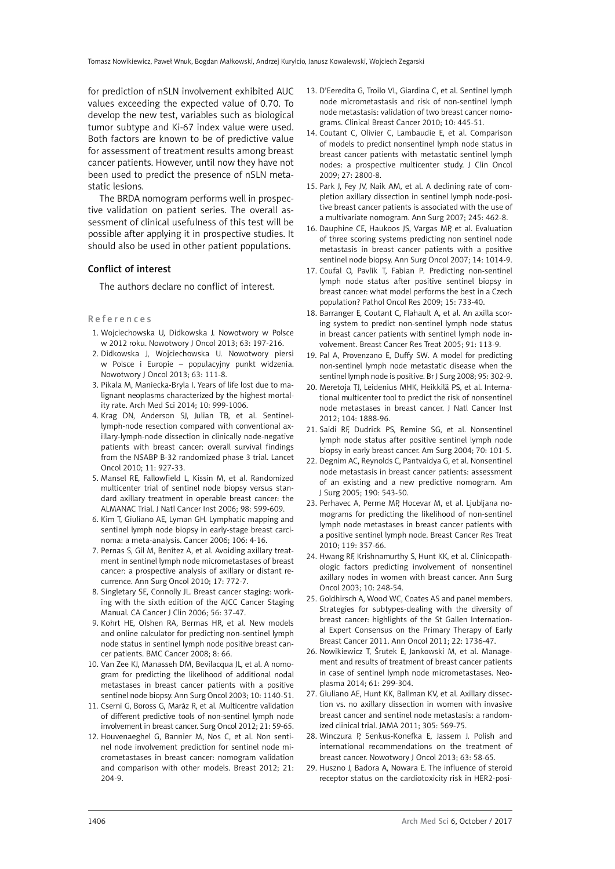for prediction of nSLN involvement exhibited AUC values exceeding the expected value of 0.70. To develop the new test, variables such as biological tumor subtype and Ki-67 index value were used. Both factors are known to be of predictive value for assessment of treatment results among breast cancer patients. However, until now they have not been used to predict the presence of nSLN metastatic lesions.

The BRDA nomogram performs well in prospective validation on patient series. The overall assessment of clinical usefulness of this test will be possible after applying it in prospective studies. It should also be used in other patient populations.

### Conflict of interest

The authors declare no conflict of interest.

#### References

- 1. Wojciechowska U, Didkowska J. Nowotwory w Polsce w 2012 roku. Nowotwory J Oncol 2013; 63: 197-216.
- 2. Didkowska J, Wojciechowska U. Nowotwory piersi w Polsce i Europie – populacyjny punkt widzenia. Nowotwory J Oncol 2013; 63: 111-8.
- 3. Pikala M, Maniecka-Bryla I. Years of life lost due to malignant neoplasms characterized by the highest mortality rate. Arch Med Sci 2014; 10: 999-1006.
- 4. Krag DN, Anderson SJ, Julian TB, et al. Sentinellymph-node resection compared with conventional axillary-lymph-node dissection in clinically node-negative patients with breast cancer: overall survival findings from the NSABP B-32 randomized phase 3 trial. Lancet Oncol 2010; 11: 927-33.
- 5. Mansel RE, Fallowfield L, Kissin M, et al. Randomized multicenter trial of sentinel node biopsy versus standard axillary treatment in operable breast cancer: the ALMANAC Trial. J Natl Cancer Inst 2006; 98: 599-609.
- 6. Kim T, Giuliano AE, Lyman GH. Lymphatic mapping and sentinel lymph node biopsy in early-stage breast carcinoma: a meta-analysis. Cancer 2006; 106: 4-16.
- 7. Pernas S, Gil M, Benítez A, et al. Avoiding axillary treatment in sentinel lymph node micrometastases of breast cancer: a prospective analysis of axillary or distant recurrence. Ann Surg Oncol 2010; 17: 772-7.
- 8. Singletary SE, Connolly JL. Breast cancer staging: working with the sixth edition of the AJCC Cancer Staging Manual. CA Cancer J Clin 2006; 56: 37-47.
- 9. Kohrt HE, Olshen RA, Bermas HR, et al. New models and online calculator for predicting non-sentinel lymph node status in sentinel lymph node positive breast cancer patients. BMC Cancer 2008; 8: 66.
- 10. Van Zee KJ, Manasseh DM, Bevilacqua JL, et al. A nomogram for predicting the likelihood of additional nodal metastases in breast cancer patients with a positive sentinel node biopsy. Ann Surg Oncol 2003; 10: 1140-51.
- 11. Cserni G, [Boross G,](http://www.ncbi.nlm.nih.gov/pubmed?term=Boross G%5BAuthor%5D&cauthor=true&cauthor_uid=22197294) Maráz R, et al. Multicentre validation of different predictive tools of non-sentinel lymph node involvement in breast cancer. Surg Oncol 2012; 21: 59-65.
- 12. Houvenaeghel G, Bannier M, Nos C, et al. Non sentinel node involvement prediction for sentinel node micrometastases in breast cancer: nomogram validation and comparison with other models. Breast 2012; 21: 204-9.
- 13. D'Eeredita G, Troilo VL, Giardina C, et al. Sentinel lymph node micrometastasis and risk of non-sentinel lymph node metastasis: validation of two breast cancer nomograms. Clinical Breast Cancer 2010; 10: 445-51.
- 14. Coutant C, Olivier C, Lambaudie E, et al. Comparison of models to predict nonsentinel lymph node status in breast cancer patients with metastatic sentinel lymph nodes: a prospective multicenter study. J Clin Oncol 2009; 27: 2800-8.
- 15. Park J, Fey JV, Naik AM, et al. A declining rate of completion axillary dissection in sentinel lymph node-positive breast cancer patients is associated with the use of a multivariate nomogram. Ann Surg 2007; 245: 462-8.
- 16. Dauphine CE, Haukoos JS, Vargas MP, et al. Evaluation of three scoring systems predicting non sentinel node metastasis in breast cancer patients with a positive sentinel node biopsy. Ann Surg Oncol 2007; 14: 1014-9.
- 17. Coufal O, Pavlík T, Fabian P. Predicting non-sentinel lymph node status after positive sentinel biopsy in breast cancer: what model performs the best in a Czech population? Pathol Oncol Res 2009; 15: 733-40.
- 18. Barranger E, Coutant C, Flahault A, et al. An axilla scoring system to predict non-sentinel lymph node status in breast cancer patients with sentinel lymph node involvement. Breast Cancer Res Treat 2005; 91: 113-9.
- 19. Pal A, Provenzano E, Duffy SW. A model for predicting non-sentinel lymph node metastatic disease when the sentinel lymph node is positive. Br J Surg 2008; 95: 302-9.
- 20. Meretoja TJ, Leidenius MHK, Heikkilä PS, et al. International multicenter tool to predict the risk of nonsentinel node metastases in breast cancer. J Natl Cancer Inst 2012; 104: 1888-96.
- 21. Saidi RF, Dudrick PS, Remine SG, et al. Nonsentinel lymph node status after positive sentinel lymph node biopsy in early breast cancer. Am Surg 2004; 70: 101-5.
- 22. Degnim AC, Reynolds C, Pantvaidya G, et al. Nonsentinel node metastasis in breast cancer patients: assessment of an existing and a new predictive nomogram. Am J Surg 2005; 190: 543-50.
- 23. Perhavec A, Perme MP, Hocevar M, et al. Ljubljana nomograms for predicting the likelihood of non-sentinel lymph node metastases in breast cancer patients with a positive sentinel lymph node. Breast Cancer Res Treat 2010; 119: 357-66.
- 24. Hwang RF, Krishnamurthy S, Hunt KK, et al. Clinicopathologic factors predicting involvement of nonsentinel axillary nodes in women with breast cancer. Ann Surg Oncol 2003; 10: 248-54.
- 25. Goldhirsch A, Wood WC, Coates AS and panel members. Strategies for subtypes-dealing with the diversity of breast cancer: highlights of the St Gallen International Expert Consensus on the Primary Therapy of Early Breast Cancer 2011. Ann Oncol 2011; 22: 1736-47.
- 26. Nowikiewicz T, Śrutek E, Jankowski M, et al. Management and results of treatment of breast cancer patients in case of sentinel lymph node micrometastases. Neoplasma 2014; 61: 299-304.
- 27. Giuliano AE, Hunt KK, Ballman KV, et al. Axillary dissection vs. no axillary dissection in women with invasive breast cancer and sentinel node metastasis: a randomized clinical trial. JAMA 2011; 305: 569-75.
- 28. Winczura P, Senkus-Konefka E, Jassem J. Polish and international recommendations on the treatment of breast cancer. Nowotwory J Oncol 2013; 63: 58-65.
- 29. Huszno J, Badora A, Nowara E. The influence of steroid receptor status on the cardiotoxicity risk in HER2-posi-